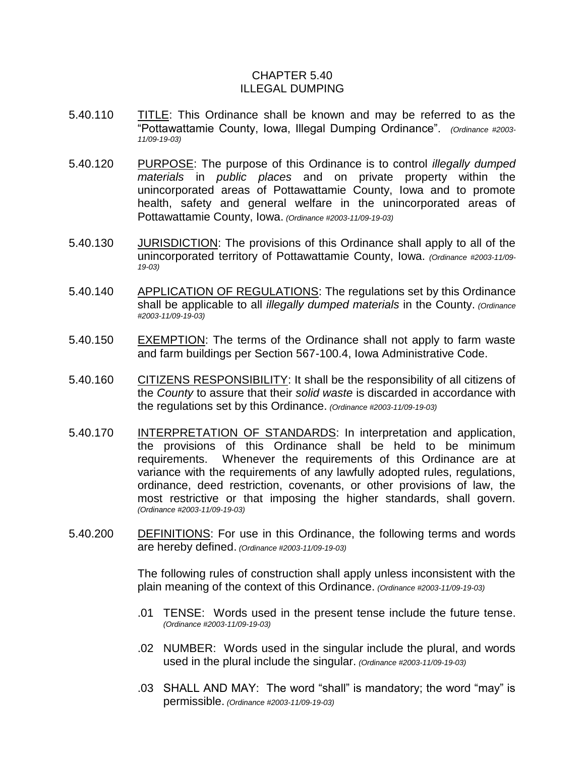## CHAPTER 5.40 ILLEGAL DUMPING

- 5.40.110 TITLE: This Ordinance shall be known and may be referred to as the "Pottawattamie County, Iowa, Illegal Dumping Ordinance". *(Ordinance #2003- 11/09-19-03)*
- 5.40.120 PURPOSE: The purpose of this Ordinance is to control *illegally dumped materials* in *public places* and on private property within the unincorporated areas of Pottawattamie County, Iowa and to promote health, safety and general welfare in the unincorporated areas of Pottawattamie County, Iowa. *(Ordinance #2003-11/09-19-03)*
- 5.40.130 JURISDICTION: The provisions of this Ordinance shall apply to all of the unincorporated territory of Pottawattamie County, Iowa. *(Ordinance #2003-11/09- 19-03)*
- 5.40.140 APPLICATION OF REGULATIONS: The regulations set by this Ordinance shall be applicable to all *illegally dumped materials* in the County. *(Ordinance #2003-11/09-19-03)*
- 5.40.150 EXEMPTION: The terms of the Ordinance shall not apply to farm waste and farm buildings per Section 567-100.4, Iowa Administrative Code.
- 5.40.160 CITIZENS RESPONSIBILITY: It shall be the responsibility of all citizens of the *County* to assure that their *solid waste* is discarded in accordance with the regulations set by this Ordinance. *(Ordinance #2003-11/09-19-03)*
- 5.40.170 INTERPRETATION OF STANDARDS: In interpretation and application, the provisions of this Ordinance shall be held to be minimum requirements. Whenever the requirements of this Ordinance are at variance with the requirements of any lawfully adopted rules, regulations, ordinance, deed restriction, covenants, or other provisions of law, the most restrictive or that imposing the higher standards, shall govern. *(Ordinance #2003-11/09-19-03)*
- 5.40.200 DEFINITIONS: For use in this Ordinance, the following terms and words are hereby defined. *(Ordinance #2003-11/09-19-03)*

The following rules of construction shall apply unless inconsistent with the plain meaning of the context of this Ordinance. *(Ordinance #2003-11/09-19-03)*

- .01 TENSE: Words used in the present tense include the future tense. *(Ordinance #2003-11/09-19-03)*
- .02 NUMBER: Words used in the singular include the plural, and words used in the plural include the singular. *(Ordinance #2003-11/09-19-03)*
- .03 SHALL AND MAY: The word "shall" is mandatory; the word "may" is permissible. *(Ordinance #2003-11/09-19-03)*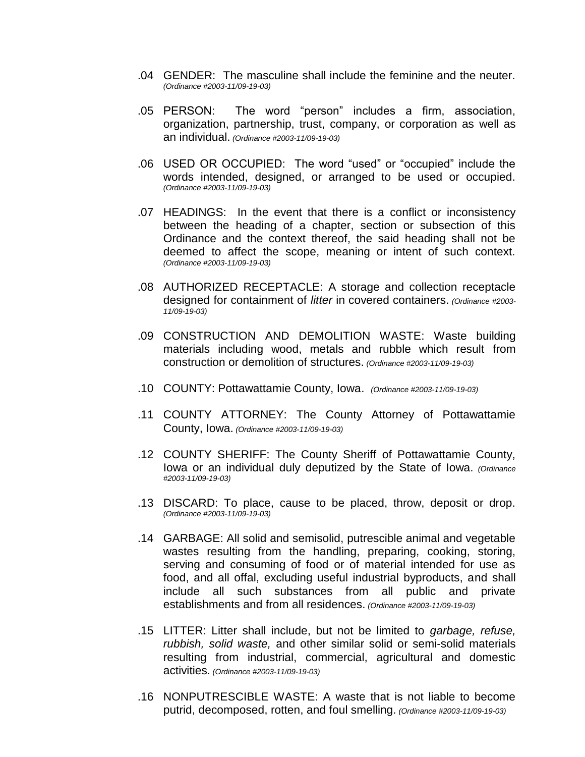- .04 GENDER: The masculine shall include the feminine and the neuter. *(Ordinance #2003-11/09-19-03)*
- .05 PERSON: The word "person" includes a firm, association, organization, partnership, trust, company, or corporation as well as an individual. *(Ordinance #2003-11/09-19-03)*
- .06 USED OR OCCUPIED: The word "used" or "occupied" include the words intended, designed, or arranged to be used or occupied. *(Ordinance #2003-11/09-19-03)*
- .07 HEADINGS: In the event that there is a conflict or inconsistency between the heading of a chapter, section or subsection of this Ordinance and the context thereof, the said heading shall not be deemed to affect the scope, meaning or intent of such context. *(Ordinance #2003-11/09-19-03)*
- .08 AUTHORIZED RECEPTACLE: A storage and collection receptacle designed for containment of *litter* in covered containers. *(Ordinance #2003- 11/09-19-03)*
- .09 CONSTRUCTION AND DEMOLITION WASTE: Waste building materials including wood, metals and rubble which result from construction or demolition of structures. *(Ordinance #2003-11/09-19-03)*
- .10 COUNTY: Pottawattamie County, Iowa. *(Ordinance #2003-11/09-19-03)*
- .11 COUNTY ATTORNEY: The County Attorney of Pottawattamie County, Iowa. *(Ordinance #2003-11/09-19-03)*
- .12 COUNTY SHERIFF: The County Sheriff of Pottawattamie County, Iowa or an individual duly deputized by the State of Iowa. *(Ordinance #2003-11/09-19-03)*
- .13 DISCARD: To place, cause to be placed, throw, deposit or drop. *(Ordinance #2003-11/09-19-03)*
- .14 GARBAGE: All solid and semisolid, putrescible animal and vegetable wastes resulting from the handling, preparing, cooking, storing, serving and consuming of food or of material intended for use as food, and all offal, excluding useful industrial byproducts, and shall include all such substances from all public and private establishments and from all residences. *(Ordinance #2003-11/09-19-03)*
- .15 LITTER: Litter shall include, but not be limited to *garbage, refuse, rubbish, solid waste,* and other similar solid or semi-solid materials resulting from industrial, commercial, agricultural and domestic activities. *(Ordinance #2003-11/09-19-03)*
- .16 NONPUTRESCIBLE WASTE: A waste that is not liable to become putrid, decomposed, rotten, and foul smelling. *(Ordinance #2003-11/09-19-03)*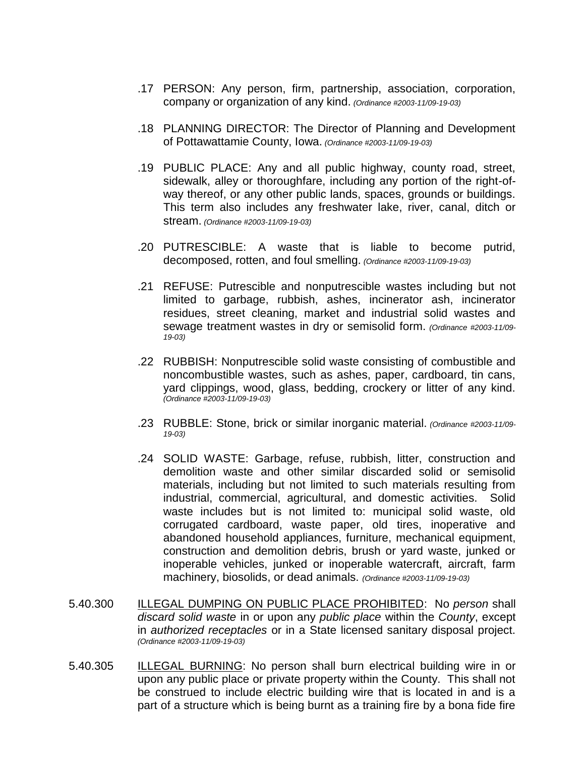- .17 PERSON: Any person, firm, partnership, association, corporation, company or organization of any kind. *(Ordinance #2003-11/09-19-03)*
- .18 PLANNING DIRECTOR: The Director of Planning and Development of Pottawattamie County, Iowa. *(Ordinance #2003-11/09-19-03)*
- .19 PUBLIC PLACE: Any and all public highway, county road, street, sidewalk, alley or thoroughfare, including any portion of the right-ofway thereof, or any other public lands, spaces, grounds or buildings. This term also includes any freshwater lake, river, canal, ditch or stream. *(Ordinance #2003-11/09-19-03)*
- .20 PUTRESCIBLE: A waste that is liable to become putrid, decomposed, rotten, and foul smelling. *(Ordinance #2003-11/09-19-03)*
- .21 REFUSE: Putrescible and nonputrescible wastes including but not limited to garbage, rubbish, ashes, incinerator ash, incinerator residues, street cleaning, market and industrial solid wastes and sewage treatment wastes in dry or semisolid form. *(Ordinance #2003-11/09- 19-03)*
- .22 RUBBISH: Nonputrescible solid waste consisting of combustible and noncombustible wastes, such as ashes, paper, cardboard, tin cans, yard clippings, wood, glass, bedding, crockery or litter of any kind. *(Ordinance #2003-11/09-19-03)*
- .23 RUBBLE: Stone, brick or similar inorganic material. *(Ordinance #2003-11/09- 19-03)*
- .24 SOLID WASTE: Garbage, refuse, rubbish, litter, construction and demolition waste and other similar discarded solid or semisolid materials, including but not limited to such materials resulting from industrial, commercial, agricultural, and domestic activities. Solid waste includes but is not limited to: municipal solid waste, old corrugated cardboard, waste paper, old tires, inoperative and abandoned household appliances, furniture, mechanical equipment, construction and demolition debris, brush or yard waste, junked or inoperable vehicles, junked or inoperable watercraft, aircraft, farm machinery, biosolids, or dead animals. *(Ordinance #2003-11/09-19-03)*
- 5.40.300 ILLEGAL DUMPING ON PUBLIC PLACE PROHIBITED: No *person* shall *discard solid waste* in or upon any *public place* within the *County*, except in *authorized receptacles* or in a State licensed sanitary disposal project. *(Ordinance #2003-11/09-19-03)*
- 5.40.305 ILLEGAL BURNING: No person shall burn electrical building wire in or upon any public place or private property within the County. This shall not be construed to include electric building wire that is located in and is a part of a structure which is being burnt as a training fire by a bona fide fire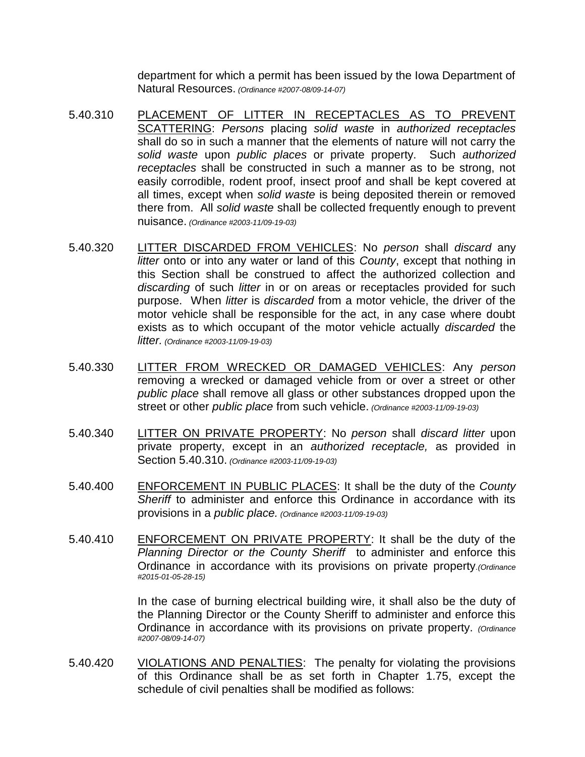department for which a permit has been issued by the Iowa Department of Natural Resources. *(Ordinance #2007-08/09-14-07)*

- 5.40.310 PLACEMENT OF LITTER IN RECEPTACLES AS TO PREVENT SCATTERING: *Persons* placing *solid waste* in *authorized receptacles* shall do so in such a manner that the elements of nature will not carry the *solid waste* upon *public places* or private property. Such *authorized receptacles* shall be constructed in such a manner as to be strong, not easily corrodible, rodent proof, insect proof and shall be kept covered at all times, except when *solid waste* is being deposited therein or removed there from. All *solid waste* shall be collected frequently enough to prevent nuisance. *(Ordinance #2003-11/09-19-03)*
- 5.40.320 LITTER DISCARDED FROM VEHICLES: No *person* shall *discard* any *litter* onto or into any water or land of this *County*, except that nothing in this Section shall be construed to affect the authorized collection and *discarding* of such *litter* in or on areas or receptacles provided for such purpose. When *litter* is *discarded* from a motor vehicle, the driver of the motor vehicle shall be responsible for the act, in any case where doubt exists as to which occupant of the motor vehicle actually *discarded* the *litter. (Ordinance #2003-11/09-19-03)*
- 5.40.330 LITTER FROM WRECKED OR DAMAGED VEHICLES: Any *person* removing a wrecked or damaged vehicle from or over a street or other *public place* shall remove all glass or other substances dropped upon the street or other *public place* from such vehicle. *(Ordinance #2003-11/09-19-03)*
- 5.40.340 LITTER ON PRIVATE PROPERTY: No *person* shall *discard litter* upon private property, except in an *authorized receptacle,* as provided in Section 5.40.310. *(Ordinance #2003-11/09-19-03)*
- 5.40.400 ENFORCEMENT IN PUBLIC PLACES: It shall be the duty of the *County Sheriff* to administer and enforce this Ordinance in accordance with its provisions in a *public place. (Ordinance #2003-11/09-19-03)*
- 5.40.410 ENFORCEMENT ON PRIVATE PROPERTY: It shall be the duty of the *Planning Director or the County Sheriff* to administer and enforce this Ordinance in accordance with its provisions on private property*.(Ordinance #2015-01-05-28-15)*

In the case of burning electrical building wire, it shall also be the duty of the Planning Director or the County Sheriff to administer and enforce this Ordinance in accordance with its provisions on private property. *(Ordinance #2007-08/09-14-07)*

5.40.420 VIOLATIONS AND PENALTIES: The penalty for violating the provisions of this Ordinance shall be as set forth in Chapter 1.75, except the schedule of civil penalties shall be modified as follows: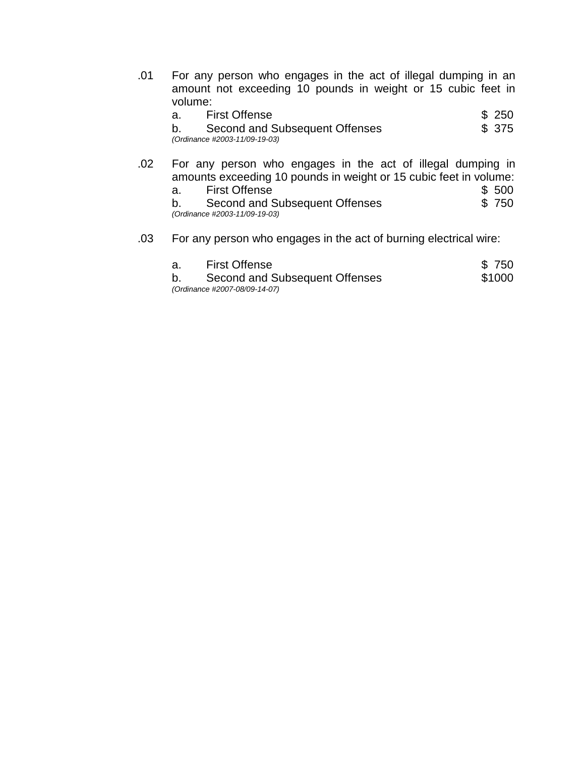.01 For any person who engages in the act of illegal dumping in an amount not exceeding 10 pounds in weight or 15 cubic feet in volume:

| a. | <b>First Offense</b>           | \$250  |
|----|--------------------------------|--------|
| b. | Second and Subsequent Offenses | \$ 375 |
|    | (Ordinance #2003-11/09-19-03)  |        |

.02 For any person who engages in the act of illegal dumping in amounts exceeding 10 pounds in weight or 15 cubic feet in volume: a. First Offense **\$ 500** 

| Second and Subsequent Offenses | \$750 |
|--------------------------------|-------|
| (Ordinance #2003-11/09-19-03)  |       |

.03 For any person who engages in the act of burning electrical wire:

| а. | <b>First Offense</b>           | \$750  |
|----|--------------------------------|--------|
| b. | Second and Subsequent Offenses | \$1000 |
|    | (Ordinance #2007-08/09-14-07)  |        |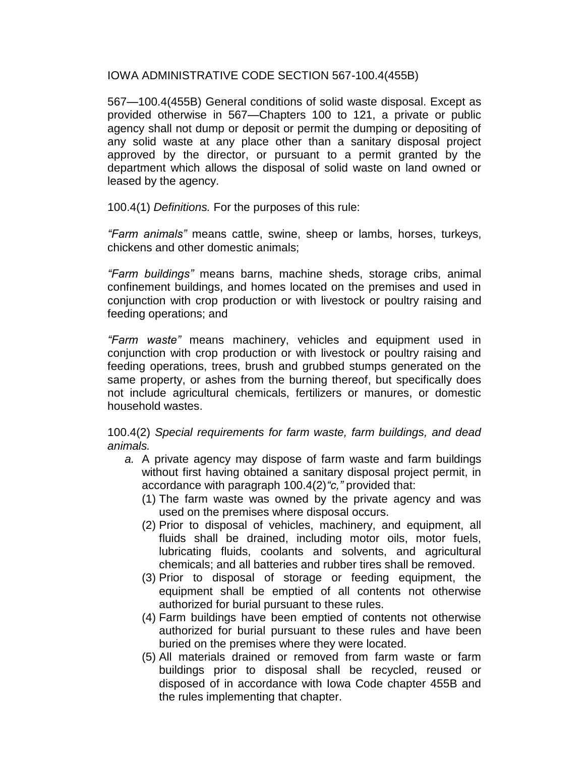IOWA ADMINISTRATIVE CODE SECTION 567-100.4(455B)

567—100.4(455B) General conditions of solid waste disposal. Except as provided otherwise in 567—Chapters 100 to 121, a private or public agency shall not dump or deposit or permit the dumping or depositing of any solid waste at any place other than a sanitary disposal project approved by the director, or pursuant to a permit granted by the department which allows the disposal of solid waste on land owned or leased by the agency.

100.4(1) *Definitions.* For the purposes of this rule:

*"Farm animals"* means cattle, swine, sheep or lambs, horses, turkeys, chickens and other domestic animals;

*"Farm buildings"* means barns, machine sheds, storage cribs, animal confinement buildings, and homes located on the premises and used in conjunction with crop production or with livestock or poultry raising and feeding operations; and

*"Farm waste"* means machinery, vehicles and equipment used in conjunction with crop production or with livestock or poultry raising and feeding operations, trees, brush and grubbed stumps generated on the same property, or ashes from the burning thereof, but specifically does not include agricultural chemicals, fertilizers or manures, or domestic household wastes.

100.4(2) *Special requirements for farm waste, farm buildings, and dead animals.*

- *a.* A private agency may dispose of farm waste and farm buildings without first having obtained a sanitary disposal project permit, in accordance with paragraph 100.4(2)*"c,"* provided that:
	- (1) The farm waste was owned by the private agency and was used on the premises where disposal occurs.
	- (2) Prior to disposal of vehicles, machinery, and equipment, all fluids shall be drained, including motor oils, motor fuels, lubricating fluids, coolants and solvents, and agricultural chemicals; and all batteries and rubber tires shall be removed.
	- (3) Prior to disposal of storage or feeding equipment, the equipment shall be emptied of all contents not otherwise authorized for burial pursuant to these rules.
	- (4) Farm buildings have been emptied of contents not otherwise authorized for burial pursuant to these rules and have been buried on the premises where they were located.
	- (5) All materials drained or removed from farm waste or farm buildings prior to disposal shall be recycled, reused or disposed of in accordance with Iowa Code chapter 455B and the rules implementing that chapter.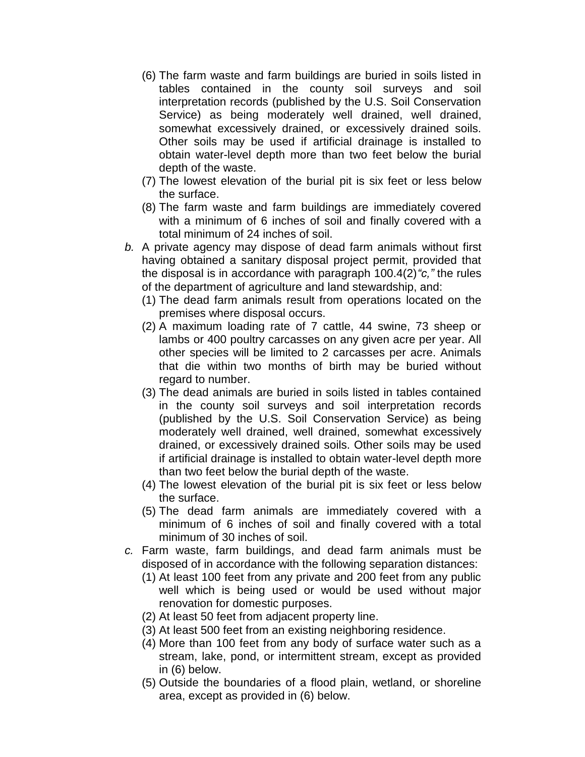- (6) The farm waste and farm buildings are buried in soils listed in tables contained in the county soil surveys and soil interpretation records (published by the U.S. Soil Conservation Service) as being moderately well drained, well drained, somewhat excessively drained, or excessively drained soils. Other soils may be used if artificial drainage is installed to obtain water-level depth more than two feet below the burial depth of the waste.
- (7) The lowest elevation of the burial pit is six feet or less below the surface.
- (8) The farm waste and farm buildings are immediately covered with a minimum of 6 inches of soil and finally covered with a total minimum of 24 inches of soil.
- *b.* A private agency may dispose of dead farm animals without first having obtained a sanitary disposal project permit, provided that the disposal is in accordance with paragraph 100.4(2)*"c,"* the rules of the department of agriculture and land stewardship, and:
	- (1) The dead farm animals result from operations located on the premises where disposal occurs.
	- (2) A maximum loading rate of 7 cattle, 44 swine, 73 sheep or lambs or 400 poultry carcasses on any given acre per year. All other species will be limited to 2 carcasses per acre. Animals that die within two months of birth may be buried without regard to number.
	- (3) The dead animals are buried in soils listed in tables contained in the county soil surveys and soil interpretation records (published by the U.S. Soil Conservation Service) as being moderately well drained, well drained, somewhat excessively drained, or excessively drained soils. Other soils may be used if artificial drainage is installed to obtain water-level depth more than two feet below the burial depth of the waste.
	- (4) The lowest elevation of the burial pit is six feet or less below the surface.
	- (5) The dead farm animals are immediately covered with a minimum of 6 inches of soil and finally covered with a total minimum of 30 inches of soil.
- *c.* Farm waste, farm buildings, and dead farm animals must be disposed of in accordance with the following separation distances:
	- (1) At least 100 feet from any private and 200 feet from any public well which is being used or would be used without major renovation for domestic purposes.
	- (2) At least 50 feet from adjacent property line.
	- (3) At least 500 feet from an existing neighboring residence.
	- (4) More than 100 feet from any body of surface water such as a stream, lake, pond, or intermittent stream, except as provided in (6) below.
	- (5) Outside the boundaries of a flood plain, wetland, or shoreline area, except as provided in (6) below.